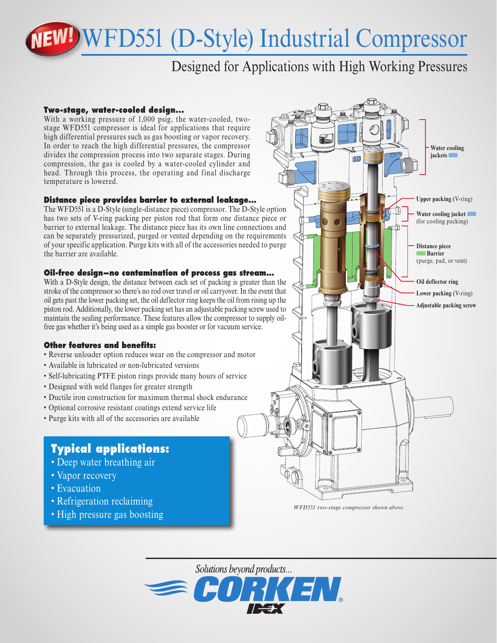# WFD551 (D-Style) Industrial Compressor

# Designed for Applications with High Working Pressures

#### **Two-stage, water-cooled design...**

With a working pressure of 1,000 psig, the water-cooled, twostage WFD551 compressor is ideal for applications that require high differential pressures such as gas boosting or vapor recovery. In order to reach the high differential pressures, the compressor divides the compression process into two separate stages. During compression, the gas is cooled by a water-cooled cylinder and head. Through this process, the operating and final discharge temperature is lowered.

#### **Distance piece provides barrier to external leakage...**

The WFD551 is a D-Style (single-distance piece) compressor. The D-Style option has two sets of V-ring packing per piston rod that form one distance piece or barrier to external leakage. The distance piece has its own line connections and can be separately pressurized, purged or vented depending on the requirements of your specific application. Purge kits with all of the accessories needed to purge the barrier are available.

#### **Oil-free design—no contamination of process gas stream...**

With a D-Style design, the distance between each set of packing is greater than the stroke of the compressor so there's no rod over travel or oil carryover. In the event that oil gets past the lower packing set, the oil deflector ring keeps the oil from rising up the piston rod. Additionally, the lower packing set has an adjustable packing screw used to maintain the sealing performance. These features allow the compressor to supply oilfree gas whether it's being used as a simple gas booster or for vacuum service.

### **Other features and benefits:**

- Reverse unloader option reduces wear on the compressor and motor
- Available in lubricated or non-lubricated versions
- Self-lubricating PTFE piston rings provide many hours of service
- Designed with weld flanges for greater strength
- Ductile iron construction for maximum thermal shock endurance
- Optional corrosive resistant coatings extend service life
- Purge kits with all of the accessories are available

## **Typical applications:**

- Deep water breathing air
- Vapor recovery
- Evacuation
- Refrigeration reclaiming
- High pressure gas boosting



*WFD551 two-stage compressor shown above.*

Solutions beyond products...  $\equiv$  CORKEN